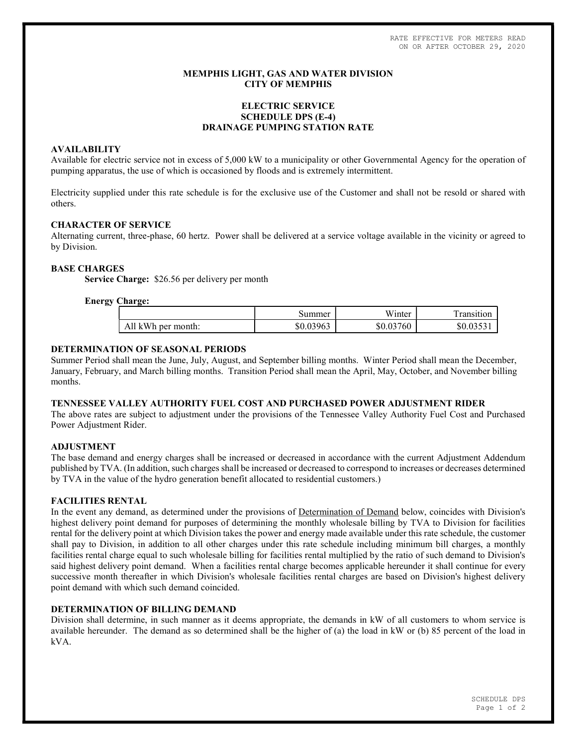RATE EFFECTIVE FOR METERS READ ON OR AFTER OCTOBER 29, 2020

## MEMPHIS LIGHT, GAS AND WATER DIVISION CITY OF MEMPHIS

# ELECTRIC SERVICE SCHEDULE DPS (E-4) DRAINAGE PUMPING STATION RATE

## AVAILABILITY

Available for electric service not in excess of 5,000 kW to a municipality or other Governmental Agency for the operation of pumping apparatus, the use of which is occasioned by floods and is extremely intermittent.

Electricity supplied under this rate schedule is for the exclusive use of the Customer and shall not be resold or shared with others.

## CHARACTER OF SERVICE

Alternating current, three-phase, 60 hertz. Power shall be delivered at a service voltage available in the vicinity or agreed to by Division.

## BASE CHARGES

Service Charge: \$26.56 per delivery per month

## Energy Charge:

|                            | summer    | <b>TT 7*</b><br>W <sub>inter</sub> | . ransıtıon |
|----------------------------|-----------|------------------------------------|-------------|
| A11<br>kWh<br>. per month: | \$0.03963 | \$0.03760                          | \$0.035     |

## DETERMINATION OF SEASONAL PERIODS

Summer Period shall mean the June, July, August, and September billing months. Winter Period shall mean the December, January, February, and March billing months. Transition Period shall mean the April, May, October, and November billing months.

# TENNESSEE VALLEY AUTHORITY FUEL COST AND PURCHASED POWER ADJUSTMENT RIDER

The above rates are subject to adjustment under the provisions of the Tennessee Valley Authority Fuel Cost and Purchased Power Adjustment Rider.

#### ADJUSTMENT

The base demand and energy charges shall be increased or decreased in accordance with the current Adjustment Addendum published by TVA. (In addition, such charges shall be increased or decreased to correspond to increases or decreases determined by TVA in the value of the hydro generation benefit allocated to residential customers.)

#### FACILITIES RENTAL

In the event any demand, as determined under the provisions of Determination of Demand below, coincides with Division's highest delivery point demand for purposes of determining the monthly wholesale billing by TVA to Division for facilities rental for the delivery point at which Division takes the power and energy made available under this rate schedule, the customer shall pay to Division, in addition to all other charges under this rate schedule including minimum bill charges, a monthly facilities rental charge equal to such wholesale billing for facilities rental multiplied by the ratio of such demand to Division's said highest delivery point demand. When a facilities rental charge becomes applicable hereunder it shall continue for every successive month thereafter in which Division's wholesale facilities rental charges are based on Division's highest delivery point demand with which such demand coincided.

## DETERMINATION OF BILLING DEMAND

Division shall determine, in such manner as it deems appropriate, the demands in kW of all customers to whom service is available hereunder. The demand as so determined shall be the higher of (a) the load in kW or (b) 85 percent of the load in kVA.